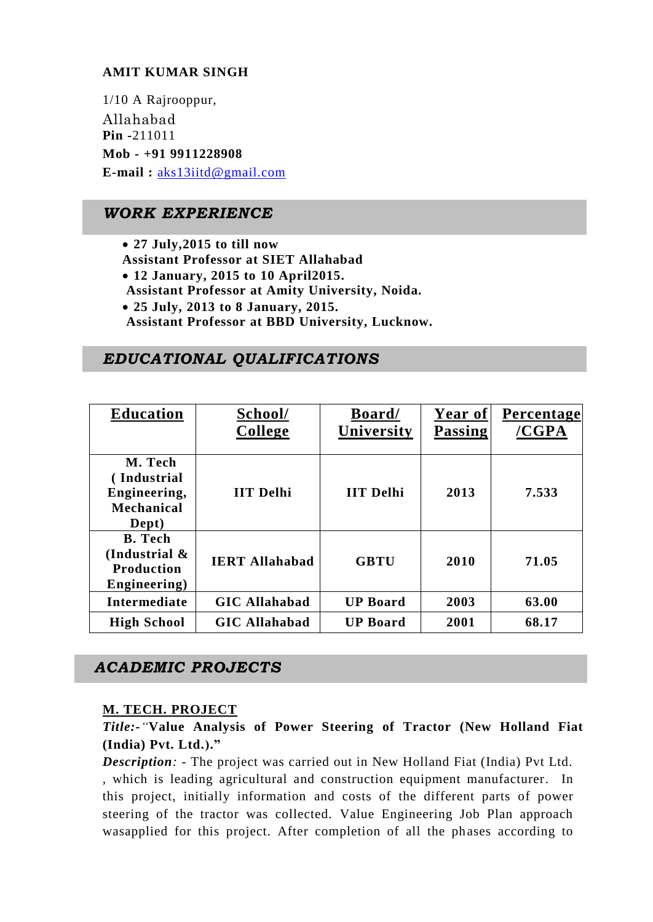### **AMIT KUMAR SINGH**

1/10 A Rajrooppur, Allahabad **Pin** *-*211011 **Mob - +91 9911228908 E-mail :** [aks13iitd@gmail.com](mailto:aks13iitd@gmail.com)

### *WORK EXPERIENCE*

 **27 July,2015 to till now Assistant Professor at SIET Allahabad 12 January, 2015 to 10 April2015. Assistant Professor at Amity University, Noida. 25 July, 2013 to 8 January, 2015. Assistant Professor at BBD University, Lucknow.**

# *EDUCATIONAL QUALIFICATIONS*

| <b>Education</b>   | School/               | Board/           | <b>Year of</b> | Percentage |
|--------------------|-----------------------|------------------|----------------|------------|
|                    | College               | University       | Passing        | /CGPA      |
|                    |                       |                  |                |            |
| M. Tech            |                       |                  |                |            |
| (Industrial        |                       |                  |                |            |
| Engineering,       | <b>IIT Delhi</b>      | <b>IIT Delhi</b> | 2013           | 7.533      |
| <b>Mechanical</b>  |                       |                  |                |            |
| Dept)              |                       |                  |                |            |
| <b>B.</b> Tech     |                       |                  |                |            |
| (Industrial $\&$   | <b>IERT Allahabad</b> | <b>GBTU</b>      | 2010           | 71.05      |
| <b>Production</b>  |                       |                  |                |            |
| Engineering)       |                       |                  |                |            |
| Intermediate       | <b>GIC Allahabad</b>  | <b>UP Board</b>  | 2003           | 63.00      |
| <b>High School</b> | <b>GIC Allahabad</b>  | <b>UP Board</b>  | 2001           | 68.17      |

# *ACADEMIC PROJECTS*

#### **M. TECH. PROJECT**

*Title:-"***Value Analysis of Power Steering of Tractor (New Holland Fiat (India) Pvt. Ltd.)."** 

*Description: -* The project was carried out in New Holland Fiat (India) Pvt Ltd. , which is leading agricultural and construction equipment manufacturer. In this project, initially information and costs of the different parts of power steering of the tractor was collected. Value Engineering Job Plan approach wasapplied for this project. After completion of all the phases according to